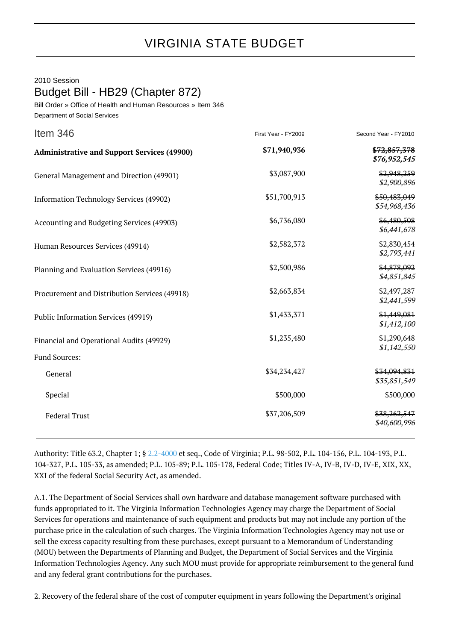2010 Session

Budget Bill - HB29 (Chapter 872)

Bill Order » Office of Health and Human Resources » Item 346 Department of Social Services

| Item 346                                           | First Year - FY2009 | Second Year - FY2010         |
|----------------------------------------------------|---------------------|------------------------------|
| <b>Administrative and Support Services (49900)</b> | \$71,940,936        | \$72,857,378<br>\$76,952,545 |
| General Management and Direction (49901)           | \$3,087,900         | \$2,948,259<br>\$2,900,896   |
| <b>Information Technology Services (49902)</b>     | \$51,700,913        | \$50,483,049<br>\$54,968,436 |
| Accounting and Budgeting Services (49903)          | \$6,736,080         | \$6,480,508<br>\$6,441,678   |
| Human Resources Services (49914)                   | \$2,582,372         | \$2,830,454<br>\$2,793,441   |
| Planning and Evaluation Services (49916)           | \$2,500,986         | \$4,878,092<br>\$4,851,845   |
| Procurement and Distribution Services (49918)      | \$2,663,834         | \$2,497,287<br>\$2,441,599   |
| Public Information Services (49919)                | \$1,433,371         | \$1,449,081<br>\$1,412,100   |
| Financial and Operational Audits (49929)           | \$1,235,480         | \$1,290,648<br>\$1,142,550   |
| Fund Sources:                                      |                     |                              |
| General                                            | \$34,234,427        | \$34,094,831<br>\$35,851,549 |
| Special                                            | \$500,000           | \$500,000                    |
| <b>Federal Trust</b>                               | \$37,206,509        | \$38,262,547<br>\$40,600,996 |

Authority: Title 63.2, Chapter 1; § [2.2-4000](http://law.lis.virginia.gov/vacode/2.2-4000/) et seq., Code of Virginia; P.L. 98-502, P.L. 104-156, P.L. 104-193, P.L. 104-327, P.L. 105-33, as amended; P.L. 105-89; P.L. 105-178, Federal Code; Titles IV-A, IV-B, IV-D, IV-E, XIX, XX, XXI of the federal Social Security Act, as amended.

A.1. The Department of Social Services shall own hardware and database management software purchased with funds appropriated to it. The Virginia Information Technologies Agency may charge the Department of Social Services for operations and maintenance of such equipment and products but may not include any portion of the purchase price in the calculation of such charges. The Virginia Information Technologies Agency may not use or sell the excess capacity resulting from these purchases, except pursuant to a Memorandum of Understanding (MOU) between the Departments of Planning and Budget, the Department of Social Services and the Virginia Information Technologies Agency. Any such MOU must provide for appropriate reimbursement to the general fund and any federal grant contributions for the purchases.

2. Recovery of the federal share of the cost of computer equipment in years following the Department's original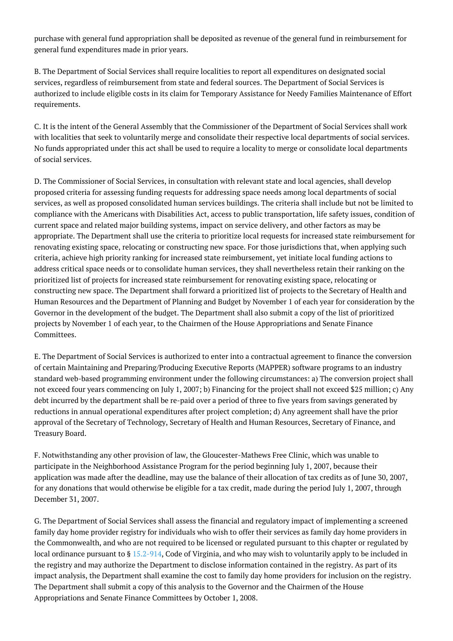purchase with general fund appropriation shall be deposited as revenue of the general fund in reimbursement for general fund expenditures made in prior years.

B. The Department of Social Services shall require localities to report all expenditures on designated social services, regardless of reimbursement from state and federal sources. The Department of Social Services is authorized to include eligible costs in its claim for Temporary Assistance for Needy Families Maintenance of Effort requirements.

C. It is the intent of the General Assembly that the Commissioner of the Department of Social Services shall work with localities that seek to voluntarily merge and consolidate their respective local departments of social services. No funds appropriated under this act shall be used to require a locality to merge or consolidate local departments of social services.

D. The Commissioner of Social Services, in consultation with relevant state and local agencies, shall develop proposed criteria for assessing funding requests for addressing space needs among local departments of social services, as well as proposed consolidated human services buildings. The criteria shall include but not be limited to compliance with the Americans with Disabilities Act, access to public transportation, life safety issues, condition of current space and related major building systems, impact on service delivery, and other factors as may be appropriate. The Department shall use the criteria to prioritize local requests for increased state reimbursement for renovating existing space, relocating or constructing new space. For those jurisdictions that, when applying such criteria, achieve high priority ranking for increased state reimbursement, yet initiate local funding actions to address critical space needs or to consolidate human services, they shall nevertheless retain their ranking on the prioritized list of projects for increased state reimbursement for renovating existing space, relocating or constructing new space. The Department shall forward a prioritized list of projects to the Secretary of Health and Human Resources and the Department of Planning and Budget by November 1 of each year for consideration by the Governor in the development of the budget. The Department shall also submit a copy of the list of prioritized projects by November 1 of each year, to the Chairmen of the House Appropriations and Senate Finance Committees.

E. The Department of Social Services is authorized to enter into a contractual agreement to finance the conversion of certain Maintaining and Preparing/Producing Executive Reports (MAPPER) software programs to an industry standard web-based programming environment under the following circumstances: a) The conversion project shall not exceed four years commencing on July 1, 2007; b) Financing for the project shall not exceed \$25 million; c) Any debt incurred by the department shall be re-paid over a period of three to five years from savings generated by reductions in annual operational expenditures after project completion; d) Any agreement shall have the prior approval of the Secretary of Technology, Secretary of Health and Human Resources, Secretary of Finance, and Treasury Board.

F. Notwithstanding any other provision of law, the Gloucester-Mathews Free Clinic, which was unable to participate in the Neighborhood Assistance Program for the period beginning July 1, 2007, because their application was made after the deadline, may use the balance of their allocation of tax credits as of June 30, 2007, for any donations that would otherwise be eligible for a tax credit, made during the period July 1, 2007, through December 31, 2007.

G. The Department of Social Services shall assess the financial and regulatory impact of implementing a screened family day home provider registry for individuals who wish to offer their services as family day home providers in the Commonwealth, and who are not required to be licensed or regulated pursuant to this chapter or regulated by local ordinance pursuant to § [15.2-914](http://law.lis.virginia.gov/vacode/15.2-914/), Code of Virginia, and who may wish to voluntarily apply to be included in the registry and may authorize the Department to disclose information contained in the registry. As part of its impact analysis, the Department shall examine the cost to family day home providers for inclusion on the registry. The Department shall submit a copy of this analysis to the Governor and the Chairmen of the House Appropriations and Senate Finance Committees by October 1, 2008.